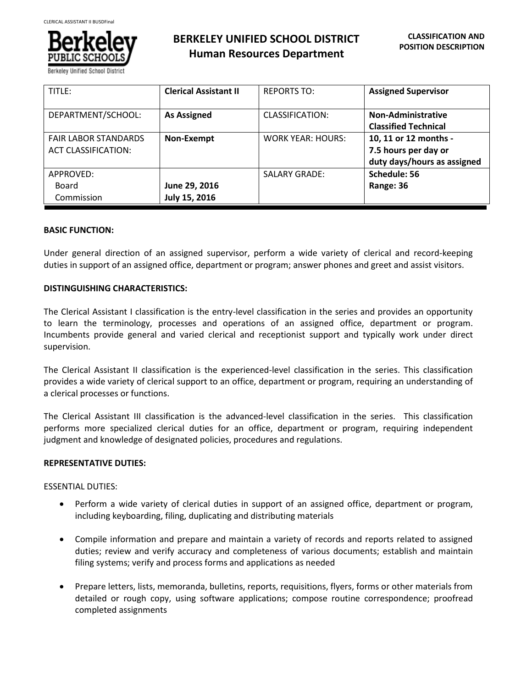

**BERKELEY UNIFIED SCHOOL DISTRICT Human Resources Department**

| TITLE:                                                    | <b>Clerical Assistant II</b>   | <b>REPORTS TO:</b>       | <b>Assigned Supervisor</b>                                                   |
|-----------------------------------------------------------|--------------------------------|--------------------------|------------------------------------------------------------------------------|
| DEPARTMENT/SCHOOL:                                        | <b>As Assigned</b>             | CLASSIFICATION:          | Non-Administrative<br><b>Classified Technical</b>                            |
| <b>FAIR LABOR STANDARDS</b><br><b>ACT CLASSIFICATION:</b> | Non-Exempt                     | <b>WORK YEAR: HOURS:</b> | 10, 11 or 12 months -<br>7.5 hours per day or<br>duty days/hours as assigned |
| APPROVED:<br>Board<br>Commission                          | June 29, 2016<br>July 15, 2016 | <b>SALARY GRADE:</b>     | Schedule: 56<br>Range: 36                                                    |

### **BASIC FUNCTION:**

Under general direction of an assigned supervisor, perform a wide variety of clerical and record-keeping duties in support of an assigned office, department or program; answer phones and greet and assist visitors.

### **DISTINGUISHING CHARACTERISTICS:**

The Clerical Assistant I classification is the entry-level classification in the series and provides an opportunity to learn the terminology, processes and operations of an assigned office, department or program. Incumbents provide general and varied clerical and receptionist support and typically work under direct supervision.

The Clerical Assistant II classification is the experienced-level classification in the series. This classification provides a wide variety of clerical support to an office, department or program, requiring an understanding of a clerical processes or functions.

The Clerical Assistant III classification is the advanced-level classification in the series. This classification performs more specialized clerical duties for an office, department or program, requiring independent judgment and knowledge of designated policies, procedures and regulations.

### **REPRESENTATIVE DUTIES:**

### ESSENTIAL DUTIES:

- Perform a wide variety of clerical duties in support of an assigned office, department or program, including keyboarding, filing, duplicating and distributing materials
- Compile information and prepare and maintain a variety of records and reports related to assigned duties; review and verify accuracy and completeness of various documents; establish and maintain filing systems; verify and process forms and applications as needed
- Prepare letters, lists, memoranda, bulletins, reports, requisitions, flyers, forms or other materials from detailed or rough copy, using software applications; compose routine correspondence; proofread completed assignments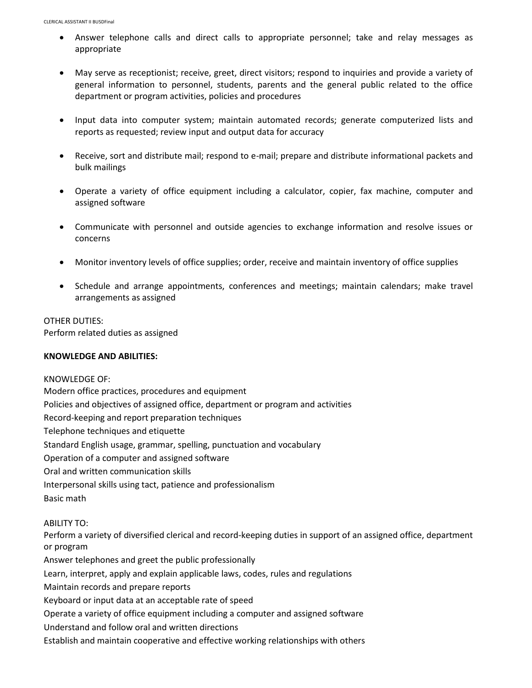- Answer telephone calls and direct calls to appropriate personnel; take and relay messages as appropriate
- May serve as receptionist; receive, greet, direct visitors; respond to inquiries and provide a variety of general information to personnel, students, parents and the general public related to the office department or program activities, policies and procedures
- Input data into computer system; maintain automated records; generate computerized lists and reports as requested; review input and output data for accuracy
- Receive, sort and distribute mail; respond to e-mail; prepare and distribute informational packets and bulk mailings
- Operate a variety of office equipment including a calculator, copier, fax machine, computer and assigned software
- Communicate with personnel and outside agencies to exchange information and resolve issues or concerns
- Monitor inventory levels of office supplies; order, receive and maintain inventory of office supplies
- Schedule and arrange appointments, conferences and meetings; maintain calendars; make travel arrangements as assigned

# OTHER DUTIES:

Perform related duties as assigned

# **KNOWLEDGE AND ABILITIES:**

KNOWLEDGE OF: Modern office practices, procedures and equipment Policies and objectives of assigned office, department or program and activities Record-keeping and report preparation techniques Telephone techniques and etiquette Standard English usage, grammar, spelling, punctuation and vocabulary Operation of a computer and assigned software Oral and written communication skills Interpersonal skills using tact, patience and professionalism Basic math

ABILITY TO:

Perform a variety of diversified clerical and record-keeping duties in support of an assigned office, department or program

Answer telephones and greet the public professionally

Learn, interpret, apply and explain applicable laws, codes, rules and regulations

Maintain records and prepare reports

Keyboard or input data at an acceptable rate of speed

Operate a variety of office equipment including a computer and assigned software

Understand and follow oral and written directions

Establish and maintain cooperative and effective working relationships with others